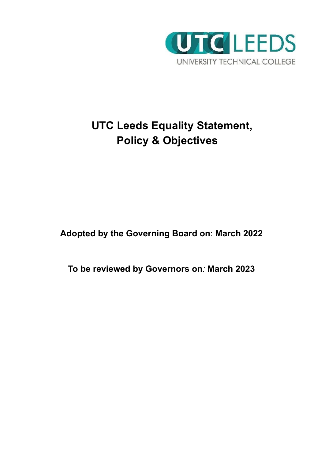

# **UTC Leeds Equality Statement, Policy & Objectives**

**Adopted by the Governing Board on**: **March 2022**

**To be reviewed by Governors on***:* **March 2023**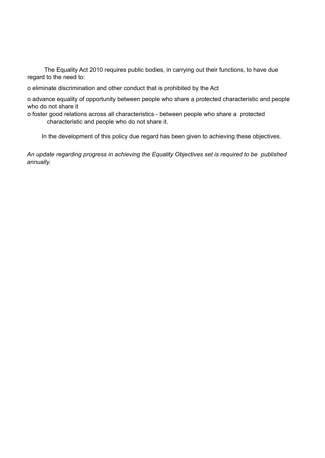The Equality Act 2010 requires public bodies, in carrying out their functions, to have due regard to the need to:

o eliminate discrimination and other conduct that is prohibited by the Act

o advance equality of opportunity between people who share a protected characteristic and people who do not share it

o foster good relations across all characteristics - between people who share a protected characteristic and people who do not share it.

In the development of this policy due regard has been given to achieving these objectives*.*

*An update regarding progress in achieving the Equality Objectives set is required to be published annually.*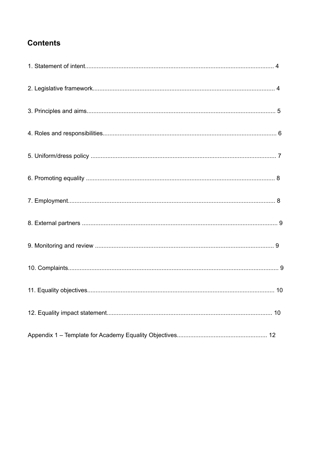# **Contents**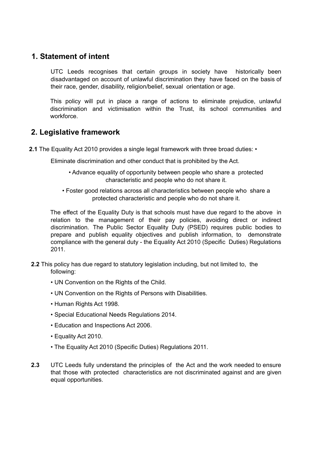# **1. Statement of intent**

UTC Leeds recognises that certain groups in society have historically been disadvantaged on account of unlawful discrimination they have faced on the basis of their race, gender, disability, religion/belief, sexual orientation or age.

This policy will put in place a range of actions to eliminate prejudice, unlawful discrimination and victimisation within the Trust, its school communities and workforce.

# **2. Legislative framework**

**2.1** The Equality Act 2010 provides a single legal framework with three broad duties: •

Eliminate discrimination and other conduct that is prohibited by the Act.

- Advance equality of opportunity between people who share a protected characteristic and people who do not share it.
- Foster good relations across all characteristics between people who share a protected characteristic and people who do not share it.

The effect of the Equality Duty is that schools must have due regard to the above in relation to the management of their pay policies, avoiding direct or indirect discrimination. The Public Sector Equality Duty (PSED) requires public bodies to prepare and publish equality objectives and publish information, to demonstrate compliance with the general duty - the Equality Act 2010 (Specific Duties) Regulations 2011.

- **2.2** This policy has due regard to statutory legislation including, but not limited to, the following:
	- UN Convention on the Rights of the Child.
	- UN Convention on the Rights of Persons with Disabilities.
	- Human Rights Act 1998.
	- Special Educational Needs Regulations 2014.
	- Education and Inspections Act 2006.
	- Equality Act 2010.
	- The Equality Act 2010 (Specific Duties) Regulations 2011.
- **2.3** UTC Leeds fully understand the principles of the Act and the work needed to ensure that those with protected characteristics are not discriminated against and are given equal opportunities.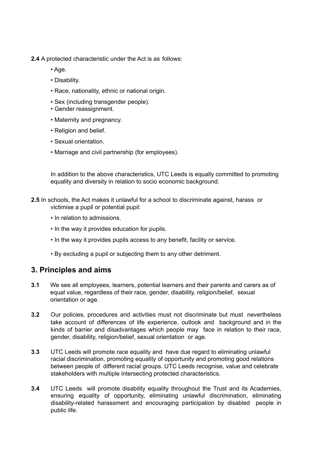- **2.4** A protected characteristic under the Act is as follows:
	- Age.
	- Disability.
	- Race, nationality, ethnic or national origin.
	- Sex (including transgender people).
	- Gender reassignment.
	- Maternity and pregnancy.
	- Religion and belief.
	- Sexual orientation.
	- Marriage and civil partnership (for employees).

In addition to the above characteristics, UTC Leeds is equally committed to promoting equality and diversity in relation to socio economic background.

- **2.5** In schools, the Act makes it unlawful for a school to discriminate against, harass or victimise a pupil or potential pupil:
	- In relation to admissions.
	- In the way it provides education for pupils.
	- In the way it provides pupils access to any benefit, facility or service.
	- By excluding a pupil or subjecting them to any other detriment.

### **3. Principles and aims**

- **3.1** We see all employees, learners, potential learners and their parents and carers as of equal value, regardless of their race, gender, disability, religion/belief, sexual orientation or age.
- **3.2** Our policies, procedures and activities must not discriminate but must nevertheless take account of differences of life experience, outlook and background and in the kinds of barrier and disadvantages which people may face in relation to their race, gender, disability, religion/belief, sexual orientation or age.
- **3.3** UTC Leeds will promote race equality and have due regard to eliminating unlawful racial discrimination, promoting equality of opportunity and promoting good relations between people of different racial groups. UTC Leeds recognise, value and celebrate stakeholders with multiple intersecting protected characteristics.
- **3.4** UTC Leeds will promote disability equality throughout the Trust and its Academies, ensuring equality of opportunity, eliminating unlawful discrimination, eliminating disability-related harassment and encouraging participation by disabled people in public life.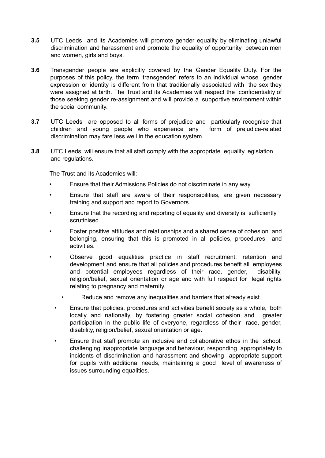- **3.5** UTC Leeds and its Academies will promote gender equality by eliminating unlawful discrimination and harassment and promote the equality of opportunity between men and women, girls and boys.
- **3.6** Transgender people are explicitly covered by the Gender Equality Duty. For the purposes of this policy, the term 'transgender' refers to an individual whose gender expression or identity is different from that traditionally associated with the sex they were assigned at birth. The Trust and its Academies will respect the confidentiality of those seeking gender re-assignment and will provide a supportive environment within the social community.
- **3.7** UTC Leeds are opposed to all forms of prejudice and particularly recognise that children and young people who experience any form of prejudice-related discrimination may fare less well in the education system.
- **3.8** UTC Leeds will ensure that all staff comply with the appropriate equality legislation and regulations.

The Trust and its Academies will:

- Ensure that their Admissions Policies do not discriminate in any way.
- Ensure that staff are aware of their responsibilities, are given necessary training and support and report to Governors.
- Ensure that the recording and reporting of equality and diversity is sufficiently scrutinised.
- Foster positive attitudes and relationships and a shared sense of cohesion and belonging, ensuring that this is promoted in all policies, procedures and activities.
- Observe good equalities practice in staff recruitment, retention and development and ensure that all policies and procedures benefit all employees and potential employees regardless of their race, gender, disability, religion/belief, sexual orientation or age and with full respect for legal rights relating to pregnancy and maternity.
	- Reduce and remove any inequalities and barriers that already exist.
	- Ensure that policies, procedures and activities benefit society as a whole, both locally and nationally, by fostering greater social cohesion and greater participation in the public life of everyone, regardless of their race, gender, disability, religion/belief, sexual orientation or age.
	- Ensure that staff promote an inclusive and collaborative ethos in the school, challenging inappropriate language and behaviour, responding appropriately to incidents of discrimination and harassment and showing appropriate support for pupils with additional needs, maintaining a good level of awareness of issues surrounding equalities.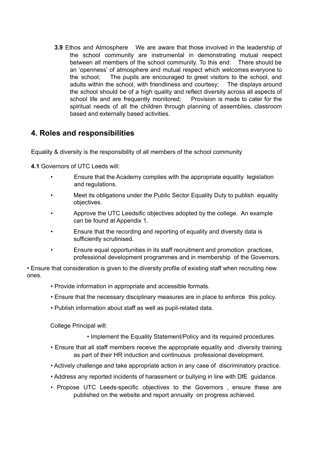**3.9** Ethos and Atmosphere We are aware that those involved in the leadership of the school community are instrumental in demonstrating mutual respect between all members of the school community. To this end: There should be an 'openness' of atmosphere and mutual respect which welcomes everyone to the school; The pupils are encouraged to greet visitors to the school, and adults within the school, with friendliness and courtesy; The displays around the school should be of a high quality and reflect diversity across all aspects of school life and are frequently monitored; Provision is made to cater for the spiritual needs of all the children through planning of assemblies, classroom based and externally based activities.

# **4. Roles and responsibilities**

Equality & diversity is the responsibility of all members of the school community

**4.1** Governors of UTC Leeds will:

- Ensure that the Academy complies with the appropriate equality legislation and regulations.
- Meet its obligations under the Public Sector Equality Duty to publish equality objectives.
- Approve the UTC Leedsific objectives adopted by the college. An example can be found at Appendix 1.
- Ensure that the recording and reporting of equality and diversity data is sufficiently scrutinised.
- Ensure equal opportunities in its staff recruitment and promotion practices, professional development programmes and in membership of the Governors.

• Ensure that consideration is given to the diversity profile of existing staff when recruiting new ones.

- Provide information in appropriate and accessible formats.
- Ensure that the necessary disciplinary measures are in place to enforce this policy.
- Publish information about staff as well as pupil-related data.

College Principal will:

- Implement the Equality Statement/Policy and its required procedures.
- Ensure that all staff members receive the appropriate equality and diversity training as part of their HR induction and continuous professional development.
- Actively challenge and take appropriate action in any case of discriminatory practice.
- Address any reported incidents of harassment or bullying in line with DfE guidance.
- Propose UTC Leeds-specific objectives to the Governors , ensure these are published on the website and report annually on progress achieved.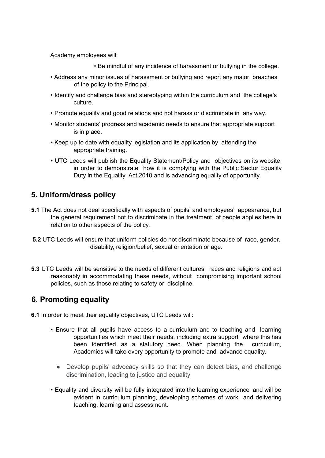Academy employees will:

• Be mindful of any incidence of harassment or bullying in the college.

- Address any minor issues of harassment or bullying and report any major breaches of the policy to the Principal.
- Identify and challenge bias and stereotyping within the curriculum and the college's culture.
- Promote equality and good relations and not harass or discriminate in any way.
- Monitor students' progress and academic needs to ensure that appropriate support is in place.
- Keep up to date with equality legislation and its application by attending the appropriate training.
- UTC Leeds will publish the Equality Statement/Policy and objectives on its website, in order to demonstrate how it is complying with the Public Sector Equality Duty in the Equality Act 2010 and is advancing equality of opportunity.

# **5. Uniform/dress policy**

- **5.1** The Act does not deal specifically with aspects of pupils' and employees' appearance, but the general requirement not to discriminate in the treatment of people applies here in relation to other aspects of the policy.
- **5.2** UTC Leeds will ensure that uniform policies do not discriminate because of race, gender, disability, religion/belief, sexual orientation or age.
- **5.3** UTC Leeds will be sensitive to the needs of different cultures, races and religions and act reasonably in accommodating these needs, without compromising important school policies, such as those relating to safety or discipline.

# **6. Promoting equality**

**6.1** In order to meet their equality objectives, UTC Leeds will:

- Ensure that all pupils have access to a curriculum and to teaching and learning opportunities which meet their needs, including extra support where this has been identified as a statutory need. When planning the curriculum, Academies will take every opportunity to promote and advance equality.
	- Develop pupils' advocacy skills so that they can detect bias, and challenge discrimination, leading to justice and equality
- Equality and diversity will be fully integrated into the learning experience and will be evident in curriculum planning, developing schemes of work and delivering teaching, learning and assessment.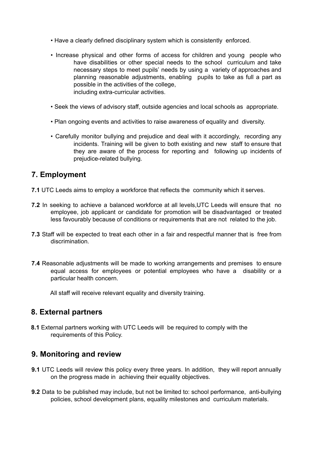- Have a clearly defined disciplinary system which is consistently enforced.
- Increase physical and other forms of access for children and young people who have disabilities or other special needs to the school curriculum and take necessary steps to meet pupils' needs by using a variety of approaches and planning reasonable adjustments, enabling pupils to take as full a part as possible in the activities of the college, including extra-curricular activities.
- Seek the views of advisory staff, outside agencies and local schools as appropriate.
- Plan ongoing events and activities to raise awareness of equality and diversity.
- Carefully monitor bullying and prejudice and deal with it accordingly, recording any incidents. Training will be given to both existing and new staff to ensure that they are aware of the process for reporting and following up incidents of prejudice-related bullying.

# **7. Employment**

- **7.1** UTC Leeds aims to employ a workforce that reflects the community which it serves.
- **7.2** In seeking to achieve a balanced workforce at all levels,UTC Leeds will ensure that no employee, job applicant or candidate for promotion will be disadvantaged or treated less favourably because of conditions or requirements that are not related to the job.
- **7.3** Staff will be expected to treat each other in a fair and respectful manner that is free from discrimination.
- **7.4** Reasonable adjustments will be made to working arrangements and premises to ensure equal access for employees or potential employees who have a disability or a particular health concern.

All staff will receive relevant equality and diversity training.

### **8. External partners**

**8.1** External partners working with UTC Leeds will be required to comply with the requirements of this Policy.

### **9. Monitoring and review**

- **9.1** UTC Leeds will review this policy every three years. In addition, they will report annually on the progress made in achieving their equality objectives.
- **9.2** Data to be published may include, but not be limited to: school performance, anti-bullying policies, school development plans, equality milestones and curriculum materials.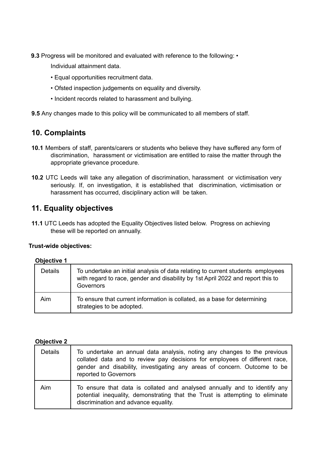**9.3** Progress will be monitored and evaluated with reference to the following: •

Individual attainment data.

- Equal opportunities recruitment data.
- Ofsted inspection judgements on equality and diversity.
- Incident records related to harassment and bullying.

**9.5** Any changes made to this policy will be communicated to all members of staff.

# **10. Complaints**

- **10.1** Members of staff, parents/carers or students who believe they have suffered any form of discrimination, harassment or victimisation are entitled to raise the matter through the appropriate grievance procedure.
- **10.2** UTC Leeds will take any allegation of discrimination, harassment or victimisation very seriously. If, on investigation, it is established that discrimination, victimisation or harassment has occurred, disciplinary action will be taken.

# **11. Equality objectives**

**11.1** UTC Leeds has adopted the Equality Objectives listed below. Progress on achieving these will be reported on annually.

### **Trust-wide objectives:**

#### **Objective 1**

| <b>Details</b> | To undertake an initial analysis of data relating to current students employees<br>with regard to race, gender and disability by 1st April 2022 and report this to<br>Governors |
|----------------|---------------------------------------------------------------------------------------------------------------------------------------------------------------------------------|
| Aim            | To ensure that current information is collated, as a base for determining<br>strategies to be adopted.                                                                          |

#### **Objective 2**

| <b>Details</b> | To undertake an annual data analysis, noting any changes to the previous<br>collated data and to review pay decisions for employees of different race,<br>gender and disability, investigating any areas of concern. Outcome to be<br>reported to Governors |
|----------------|-------------------------------------------------------------------------------------------------------------------------------------------------------------------------------------------------------------------------------------------------------------|
| Aim            | To ensure that data is collated and analysed annually and to identify any<br>potential inequality, demonstrating that the Trust is attempting to eliminate<br>discrimination and advance equality.                                                          |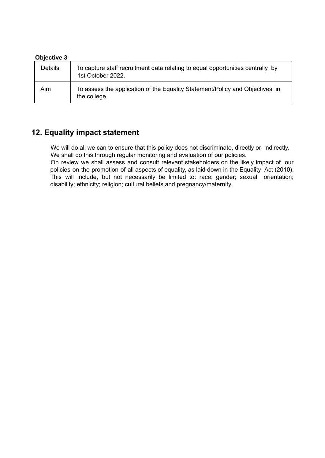#### **Objective 3**

| <b>Details</b> | To capture staff recruitment data relating to equal opportunities centrally by<br>1st October 2022. |
|----------------|-----------------------------------------------------------------------------------------------------|
| Aim            | To assess the application of the Equality Statement/Policy and Objectives in<br>the college.        |

# **12. Equality impact statement**

We will do all we can to ensure that this policy does not discriminate, directly or indirectly. We shall do this through regular monitoring and evaluation of our policies.

On review we shall assess and consult relevant stakeholders on the likely impact of our policies on the promotion of all aspects of equality, as laid down in the Equality Act (2010). This will include, but not necessarily be limited to: race; gender; sexual orientation; disability; ethnicity; religion; cultural beliefs and pregnancy/maternity.